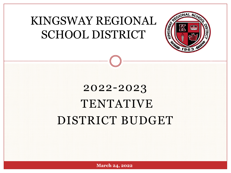# KINGSWAY REGIONAL SCHOOL DISTRICT



# 2022-2023 TENTATIVE DISTRICT BUDGET

**March 24, 2022**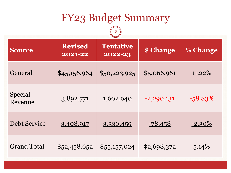| <b>FY23 Budget Summary</b> |                           |                             |              |            |
|----------------------------|---------------------------|-----------------------------|--------------|------------|
| <b>Source</b>              | <b>Revised</b><br>2021-22 | <b>Tentative</b><br>2022-23 | \$ Change    | % Change   |
| General                    | \$45,156,964              | \$50,223,925                | \$5,066,961  | $11.22\%$  |
| Special<br>Revenue         | 3,892,771                 | 1,602,640                   | $-2,290,131$ | $-58.83\%$ |
| <b>Debt Service</b>        | 3,408,917                 | 3,330,459                   | $-78,458$    | $-2.30\%$  |
| <b>Grand Total</b>         | \$52,458,652              | \$5,157,024                 | \$2,698,372  | $5.14\%$   |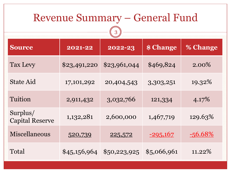| <b>Revenue Summary – General Fund</b><br>3 |              |                             |             |           |  |
|--------------------------------------------|--------------|-----------------------------|-------------|-----------|--|
| <b>Source</b>                              | 2021-22      | 2022-23                     | \$ Change   | % Change  |  |
| Tax Levy                                   | \$23,491,220 | \$23,961,044                | \$469,824   | 2.00%     |  |
| <b>State Aid</b>                           | 17,101,292   | 20,404,543                  | 3,303,251   | 19.32%    |  |
| Tuition                                    | 2,911,432    | 3,032,766                   | 121,334     | 4.17%     |  |
| Surplus/<br><b>Capital Reserve</b>         | 1,132,281    | 2,600,000                   | 1,467,719   | 129.63%   |  |
| Miscellaneous                              | 520,739      | 225,572                     | $-295,167$  | $-56.68%$ |  |
| Total                                      |              | $$45,156,964$ $$50,223,925$ | \$5,066,961 | $11.22\%$ |  |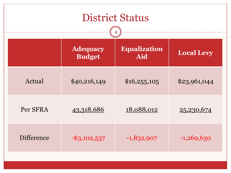| <b>District Status</b>           |                            |                   |  |  |
|----------------------------------|----------------------------|-------------------|--|--|
| <b>Adequacy</b><br><b>Budget</b> | <b>Equalization</b><br>Aid | <b>Local Levy</b> |  |  |
| \$40,216,149                     | \$16,255,105               | \$23,961,044      |  |  |
| 43,318,686                       | 18,088,012                 | 25,230,674        |  |  |
| $-$ \$3,102,537                  | $-1,832,907$               | $-1,269,630$      |  |  |
|                                  |                            |                   |  |  |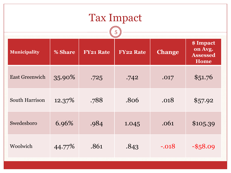| <b>Tax Impact</b><br>5 |         |                  |                  |               |                                                        |
|------------------------|---------|------------------|------------------|---------------|--------------------------------------------------------|
| <b>Municipality</b>    | % Share | <b>FY21 Rate</b> | <b>FY22 Rate</b> | <b>Change</b> | \$ Impact<br>on Avg.<br><b>Assessed</b><br><b>Home</b> |
| <b>East Greenwich</b>  | 35.90%  | .725             | .742             | .017          | \$51.76                                                |
| South Harrison         | 12.37%  | .788             | .806             | .018          | \$57.92                                                |
| Swedesboro             | 6.96%   | .984             | 1.045            | .061          | \$105.39                                               |
| Woolwich               | 44.77%  | .861             | .843             | $-.018$       | $-$ \$58.09                                            |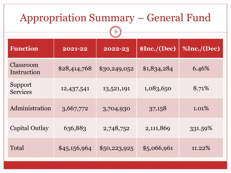| <b>Appropriation Summary – General Fund</b><br>6 |              |              |             |             |
|--------------------------------------------------|--------------|--------------|-------------|-------------|
| <b>Function</b>                                  | 2021-22      | 2022-23      | \$Inc.(Dec) | %Inc./(Dec) |
| Classroom<br>Instruction                         | \$28,414,768 | \$30,249,052 | \$1,834,284 | 6.46%       |
| Support<br><b>Services</b>                       | 12,437,541   | 13,521,191   | 1,083,650   | 8.71%       |
| Administration                                   | 3,667,772    | 3,704,930    | 37,158      | $1.01\%$    |
| <b>Capital Outlay</b>                            | 636,883      | 2,748,752    | 2,111,869   | 331.59%     |
| Total                                            | \$45,156,964 | \$50,223,925 | \$5,066,961 | $11.22\%$   |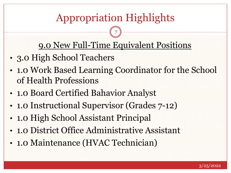# Appropriation Highlights

7

#### 9.0 New Full-Time Equivalent Positions

- 3.0 High School Teachers
- 1.0 Work Based Learning Coordinator for the School of Health Professions
- 1.0 Board Certified Bahavior Analyst
- 1.0 Instructional Supervisor (Grades  $7-12$ )
- 1.0 High School Assistant Principal
- 1.0 District Office Administrative Assistant
- 1.0 Maintenance (HVAC Technician)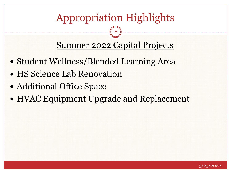# Appropriation Highlights

8

Summer 2022 Capital Projects

- Student Wellness/Blended Learning Area
- HS Science Lab Renovation
- Additional Office Space
- HVAC Equipment Upgrade and Replacement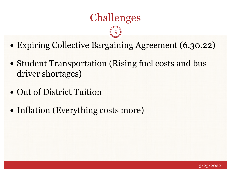### Challenges

9

- Expiring Collective Bargaining Agreement (6.30.22)
- Student Transportation (Rising fuel costs and bus driver shortages)
- Out of District Tuition
- Inflation (Everything costs more)